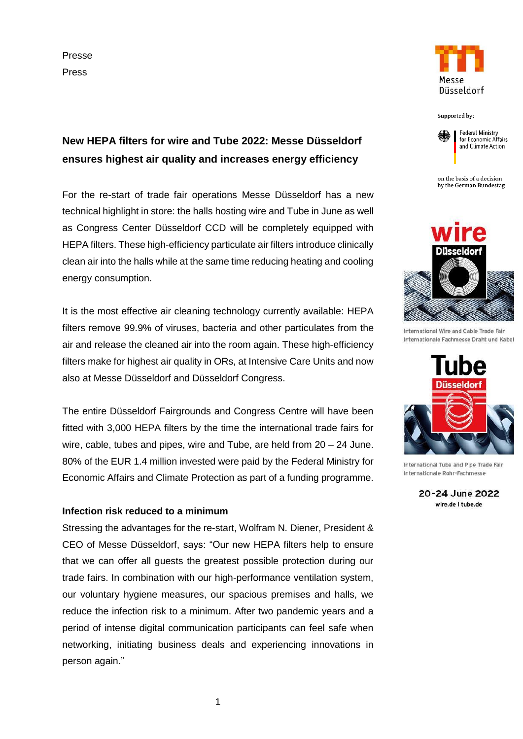Presse Press



**New HEPA filters for wire and Tube 2022: Messe Düsseldorf ensures highest air quality and increases energy efficiency**

For the re-start of trade fair operations Messe Düsseldorf has a new technical highlight in store: the halls hosting wire and Tube in June as well as Congress Center Düsseldorf CCD will be completely equipped with HEPA filters. These high-efficiency particulate air filters introduce clinically clean air into the halls while at the same time reducing heating and cooling energy consumption.

It is the most effective air cleaning technology currently available: HEPA filters remove 99.9% of viruses, bacteria and other particulates from the air and release the cleaned air into the room again. These high-efficiency filters make for highest air quality in ORs, at Intensive Care Units and now also at Messe Düsseldorf and Düsseldorf Congress.

The entire Düsseldorf Fairgrounds and Congress Centre will have been fitted with 3,000 HEPA filters by the time the international trade fairs for wire, cable, tubes and pipes, wire and Tube, are held from 20 – 24 June. 80% of the EUR 1.4 million invested were paid by the Federal Ministry for Economic Affairs and Climate Protection as part of a funding programme.

## **Infection risk reduced to a minimum**

Stressing the advantages for the re-start, Wolfram N. Diener, President & CEO of Messe Düsseldorf, says: "Our new HEPA filters help to ensure that we can offer all guests the greatest possible protection during our trade fairs. In combination with our high-performance ventilation system, our voluntary hygiene measures, our spacious premises and halls, we reduce the infection risk to a minimum. After two pandemic years and a period of intense digital communication participants can feel safe when networking, initiating business deals and experiencing innovations in person again."

Supported by:



on the basis of a decision by the German Bundestag



International Wire and Cable Trade Fair Internationale Fachmesse Draht und Kabel



International Tube and Pipe Trade Fair Internationale Rohr-Fachmesse

20-24 June 2022 wire.de I tube.de